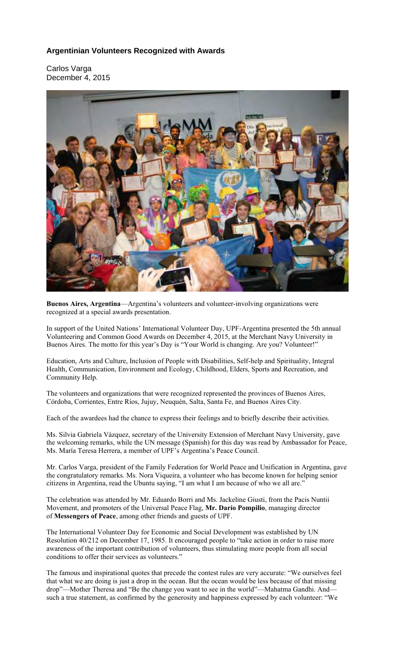# **Argentinian Volunteers Recognized with Awards**

Carlos Varga December 4, 2015



**Buenos Aires, Argentina**—Argentina's volunteers and volunteer-involving organizations were recognized at a special awards presentation.

In support of the United Nations' International Volunteer Day, UPF-Argentina presented the 5th annual Volunteering and Common Good Awards on December 4, 2015, at the Merchant Navy University in Buenos Aires. The motto for this year's Day is "Your World is changing. Are you? Volunteer!"

Education, Arts and Culture, Inclusion of People with Disabilities, Self-help and Spirituality, Integral Health, Communication, Environment and Ecology, Childhood, Elders, Sports and Recreation, and Community Help.

The volunteers and organizations that were recognized represented the provinces of Buenos Aires, Córdoba, Corrientes, Entre Ríos, Jujuy, Neuquén, Salta, Santa Fe, and Buenos Aires City.

Each of the awardees had the chance to express their feelings and to briefly describe their activities.

Ms. Silvia Gabriela Vázquez, secretary of the University Extension of Merchant Navy University, gave the welcoming remarks, while the UN message (Spanish) for this day was read by Ambassador for Peace, Ms. María Teresa Herrera, a member of UPF's Argentina's Peace Council.

Mr. Carlos Varga, president of the Family Federation for World Peace and Unification in Argentina, gave the congratulatory remarks. Ms. Nora Viqueira, a volunteer who has become known for helping senior citizens in Argentina, read the Ubuntu saying, "I am what I am because of who we all are."

The celebration was attended by Mr. Eduardo Borri and Ms. Jackeline Giusti, from the Pacis Nuntii Movement, and promoters of the Universal Peace Flag, **Mr. Darío Pompilio**, managing director of **Messengers of Peace**, among other friends and guests of UPF.

The International Volunteer Day for Economic and Social Development was established by UN Resolution 40/212 on December 17, 1985. It encouraged people to "take action in order to raise more awareness of the important contribution of volunteers, thus stimulating more people from all social conditions to offer their services as volunteers."

The famous and inspirational quotes that precede the contest rules are very accurate: "We ourselves feel that what we are doing is just a drop in the ocean. But the ocean would be less because of that missing drop"—Mother Theresa and "Be the change you want to see in the world"—Mahatma Gandhi. And such a true statement, as confirmed by the generosity and happiness expressed by each volunteer: "We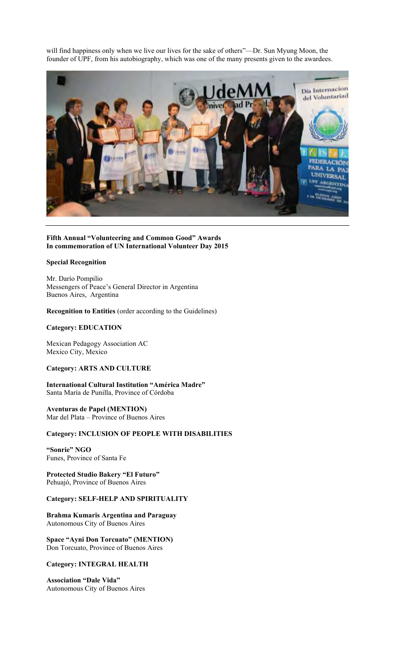will find happiness only when we live our lives for the sake of others"—Dr. Sun Myung Moon, the founder of UPF, from his autobiography, which was one of the many presents given to the awardees.



### **Fifth Annual "Volunteering and Common Good" Awards In commemoration of UN International Volunteer Day 2015**

### **Special Recognition**

Mr. Darío Pompilio Messengers of Peace's General Director in Argentina Buenos Aires, Argentina

**Recognition to Entities** (order according to the Guidelines)

## **Category: EDUCATION**

Mexican Pedagogy Association AC Mexico City, Mexico

## **Category: ARTS AND CULTURE**

**International Cultural Institution "América Madre"**  Santa María de Punilla, Province of Córdoba

**Aventuras de Papel (MENTION)**  Mar del Plata – Province of Buenos Aires

### **Category: INCLUSION OF PEOPLE WITH DISABILITIES**

**"Sonrie" NGO**  Funes, Province of Santa Fe

**Protected Studio Bakery "El Futuro"**  Pehuajó, Province of Buenos Aires

## **Category: SELF-HELP AND SPIRITUALITY**

**Brahma Kumaris Argentina and Paraguay** Autonomous City of Buenos Aires

**Space "Ayni Don Torcuato" (MENTION)** Don Torcuato, Province of Buenos Aires

### **Category: INTEGRAL HEALTH**

**Association "Dale Vida"** Autonomous City of Buenos Aires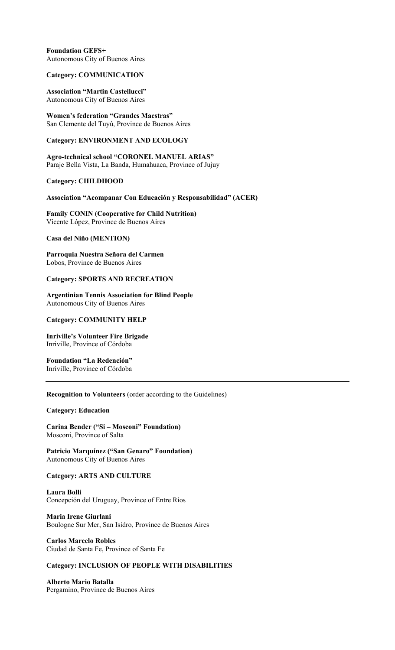## **Foundation GEFS+**  Autonomous City of Buenos Aires

### **Category: COMMUNICATION**

### **Association "Martin Castellucci"**  Autonomous City of Buenos Aires

**Women's federation "Grandes Maestras"**  San Clemente del Tuyú, Province de Buenos Aires

### **Category: ENVIRONMENT AND ECOLOGY**

**Agro-technical school "CORONEL MANUEL ARIAS"**  Paraje Bella Vista, La Banda, Humahuaca, Province of Jujuy

### **Category: CHILDHOOD**

### **Association "Acompanar Con Educación y Responsabilidad" (ACER)**

**Family CONIN (Cooperative for Child Nutrition)**  Vicente López, Province de Buenos Aires

## **Casa del Niño (MENTION)**

**Parroquia Nuestra Señora del Carmen**  Lobos, Province de Buenos Aires

### **Category: SPORTS AND RECREATION**

**Argentinian Tennis Association for Blind People**  Autonomous City of Buenos Aires

### **Category: COMMUNITY HELP**

**Inriville's Volunteer Fire Brigade**  Inriville, Province of Córdoba

# **Foundation "La Redención"**

Inriville, Province of Córdoba

## **Recognition to Volunteers** (order according to the Guidelines)

### **Category: Education**

**Carina Bender ("Si – Mosconi" Foundation)**  Mosconi, Province of Salta

**Patricio Marquínez ("San Genaro" Foundation)**  Autonomous City of Buenos Aires

## **Category: ARTS AND CULTURE**

**Laura Bolli**  Concepción del Uruguay, Province of Entre Ríos

**Maria Irene Giurlani**  Boulogne Sur Mer, San Isidro, Province de Buenos Aires

**Carlos Marcelo Robles**  Ciudad de Santa Fe, Province of Santa Fe

## **Category: INCLUSION OF PEOPLE WITH DISABILITIES**

**Alberto Mario Batalla**  Pergamino, Province de Buenos Aires